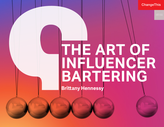ChangeThis

# **THE ART OF INFLUENCER BARTERING**

**Brittany Hennessy**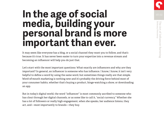## **In the age of social media, building your personal brand is more important than ever.**

It may seem like everyone has a blog, or a social channel they want you to follow, and that's because it's true. It has never been easier to turn your expertise into a revenue stream and becoming an influencer will help you do just that.

Let's start with the most important questions: What exactly are influencers and why are they important? In general, an influencer is someone who has influence. I know, I know, it isn't very helpful to define a word by using the same word, but sometimes things really are that simple. Word-of-mouth marketing is nothing new and it's probably the driving force behind most of your consumer habits, whether that's buying a product, binge-watching a show, or downloading an app.

But in today's digital world, the word "influencer" is most commonly ascribed to someone who has clout through her digital channels, or as some like to call it, "social currency." Whether she has a lot of followers or really high engagement, when she speaks, her audience listens, they act, and—most importantly to brands—they buy.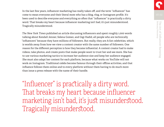In the last few years, influencer marketing has really taken off, and the term "influencer" has come to mean everyone and their literal mom who has a blog, vlog, or Instagram profile. It's been used to describe everyone and everything so often that "influencer" is practically a dirty word. That breaks my heart because influencer marketing isn't bad, it's just misunderstood. Tragically misunderstood.

*The New York Times* published an article discussing influencers and spent roughly 1,000 words talking about Kendall Jenner, Selena Gomez, and Gigi Hadid, all people who are technically "influencers" because they have millions of followers. But really, they are A-list celebrities, which is worlds away from how we view a content creator with the same number of followers. One reason for the different perception is how they became influential. A content creator had to make videos, take photos, and create posts that make people want to trust her and see more. She has to use various marketing tactics to increase her audience size and keep her audience engaged. She must also adapt her content for each platform, because what works on YouTube will not work on Instagram. Traditional celebs become famous through their offline activities, and that influence follows them online and to every platform without them having to do much more than issue a press release with the name of their handle.

"Influencer" is practically a dirty word. That breaks my heart because influencer marketing isn't bad, it's just misunderstood. Tragically misunderstood.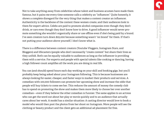Not to take anything away from celebrities whose talent and business acumen have made them famous, but it pains me every time someone calls a celebrity an "influencer." Quite honestly, it shows a complete disregard for the very thing that makes a content creator an influencer. Authenticity is the backbone of the content these women create, and their audiences look to them for expert advice. Celebs are paid to promote alcohol companies even though they don't drink, or cars even though they don't know how to drive. A good influencer would never promote something she wouldn't organically share or use offline even if she's being paid by a brand. I've seen creators turn down \$25,000 because something wasn't "on brand" for them. If that's not putting your audience above yourself, I don't know what is.

There is a difference between content creators (Youtube Vloggers, Instagram Stars, and Bloggers) and lifecasters (people who don't necessarily "create content" but share their lives as they unfold. Both can be equally valuable to audiences as long as the influencer is providing them with a service. For experts and people with special talents like cooking or dancing, having a high follower count amplifies all the work you are doing in real life.

You can (and should) spend hours each day working on your skill and booking gigs, but you'll probably keep being asked about your Instagram following. This is because businesses are always looking for easier, cheaper, and faster ways to market their products and services. A comedian with 100,000 followers can promote her upcoming show and increase the odds that people will buy tickets to come see her. This reduces the amount of money the comedy club has to spend on promoting the show and makes them more likely to choose her over another comedian—even if they believe the other comedian is funnier. The same applies to an actress who can get the word out about her play or movie quickly and to an audience that actually cares about her work. A model has a similar situation: A casting director would love to book a model who would then post the photos from her shoot on Instagram. More people will see the clothing or beauty product and the client gets an additional ad placement for free.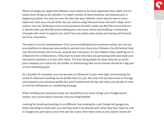Plenty of people are upset that follower count seems to be more important than talent, but it's really about firing on all cylinders. In today's version of show business, the business part is happening online. You may not love the idea that your follower count may be seen as more important than your actual skills, but you need to adapt because those who don't adapt won't make it very far. Working on your social presence shouldn't make you feel like you've sold out; it should make you feel like you're telling your own story online and building a community of people who want to support you. And if you can make some money partnering with brands you love, even better.

The same is true for entrepreneurs. Once you've established your presence online, you can use your platform to showcase new products and services, show your followers the life behind their new favorite brand, and of course, acquire new customers. It's also helpful when reaching out to influencers for collaborations. They want to know who they are partnering with and make sure the brand's aesthetic is in line with theirs. The first thing people do when they see an ad for your company is to check out the profile, so maintaining that social channel should be a big part of your marketing plan.

As a founder of a business, you can become an influencer in your own right, and knowing the world of influencer marking can do double duty for you. Not only will you learn how to manage and monetize your personal profile, but you'll understand the flip side when you decide it's time to activate influencers as a marketing strategy.

When building your personal brand, you should focus on three things: your Google search results, your social media channels, and your blog/website.

Looking for brand partnerships is no different than looking for a job. People will google you before deciding to work with you and they need to be pleased with what they find. Head on over to Google.com and type in your first and last name. Now take a look at your search results for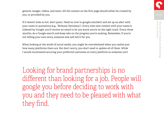general, images, videos, and news. All the content on the first page should either be created by you, or provided by you.

If it doesn't look so hot, don't panic. Head on over to google.com/alert and set up an alert with your name in quotations (e.g., "Brittany Hennessy"). Every time new content with your name is indexed by Google, you'll receive an email to let you know you're on the right track. Every three months, do a Google search and keep tabs on the progress you're making. Remember, if you're not telling your own story, someone else will tell it for you.

When looking at the world of social media, you might be overwhelmed when you realize just how many platforms there are. But don't worry, you don't need to update all of them. While I would recommend securing your preferred username on every platform so someone can't

Looking for brand partnerships is no different than looking for a job. People will google you before deciding to work with you and they need to be pleased with what they find.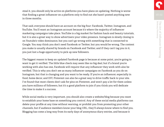steal it, you should only be active on platforms you have plans on updating. Nothing is worse that finding a great influencer on a platform only to find out she hasn't posted anything new in three months.

That said, everyone should have an account on the big four: Facebook, Twitter, Instagram, and YouTube. You'll want an Instagram account because it's where the majority of influencer marketing campaigns take place. YouTube is a big market for fashion hauls and beauty tutorials, but it is also a great way to show advertisers your video presence. Instagram is slowly closing in on Youtube's video dominance, but you can't go wrong with something that is connected to Google. You may think you don't need Facebook or Twitter, but you would be wrong. The content you make is usually shared by brands on Facebook and Twitter, and if they can't tag you in it, you just lost a huge opportunity to pick up new followers.

The biggest reason to keep an updated Facebook page is because at some point, you're going to want to get it verified. The little blue check may seem like no big deal, but if a brand you're working with also has one, Facebook will require that any influencer they work with also be verified. This is why you don't see as many influencer campaigns on Facebook as you do on Instagram, but that is changing and you want to be ready. If you're an influencer, especially in food, home decor, and DIY, Pinterest can also be a great way to drive traffic back to your site. I've found that most clients don't ask for pins on Pinterest, and won't pay a lot for them unless you have millions of followers, but it's a good platform to join if you think you will dedicate the time to make it a success.

While social media is very important, you should also create a website/blog because you want to establish your home base on something you control. Any of these social media platforms can delete your profile at any time without warning, or prohibit you from promoting your other channels, but if audience members know your blog URL, they'll always know where to find you. Blogging has come a long way from its early days of anonymous diary entries, and because it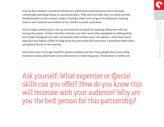was the first medium to produce influencers, advertisers have had more time to become comfortable spending money on sponsored posts. They also love that they can easily provide feedback/edits on the content, unlike a YouTube video, and can give the influencer tracking links to see if anyone has clicked on the content or made a purchase.

Since a blog is pretty easy to set up and maintain it's great for aspiring influencers who are testing the waters. Unlike a YouTube channel, you don't need video equipment or editing skills, and unlike Instagram you don't necessarily need to shoot your own photos. I have seen many beautiful and highly clicked on blog posts that are made with some text, a brand-provided video, and photos found on the Internet.

Given how easy it is to get started it always surprises me how many people don't have a blog because so many advertisers want influencers to create blog posts. Think about it: When you

Ask yourself: What expertise or special skills can you offer? How do you know this will resonate with your audience? Why are you the best person for this partnership?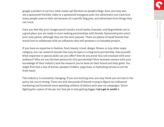google a product or service, what comes up? Reviews on people's blogs. Sure, you may also see a sponsored YouTube video or a sponsored Instagram post, but advertisers can track how many people came to their site because of a specific blog post, and advertisers love things they can track.

Once you feel like your Google search results, social media channels, and blog/website are in a good place, you are ready to start seeking partnerships with brands. Sponsored posts aren't your only option, although they are the most popular. There are plenty of small brands that would love to collaborate with an influencer who will promote a co-branded product.

If you have an expertise in fashion, food, beauty, travel, design, fitness, or any other major category, you can research brands that may be open to a long-term partnership. Ask yourself: What expertise or special skills can you offer? How do you know this will resonate with your audience? Why are you the best person for this partnership? Wow business owners with your knowledge of their industry and the research you've done on their brand and their goals. You might find that a line of knives, passport holders, yoga mats, or hydrating serums is not far from reach.

This industry is constantly changing. If you are starting now, you may think you are late to the party, but you're wrong. There are still thousands of brands trying to figure out influencer marketing and hundreds more spending millions of dollars each year on campaigns. You're fighting for a piece of the pie, but that pie is only getting bigger. **Let's get to work!**